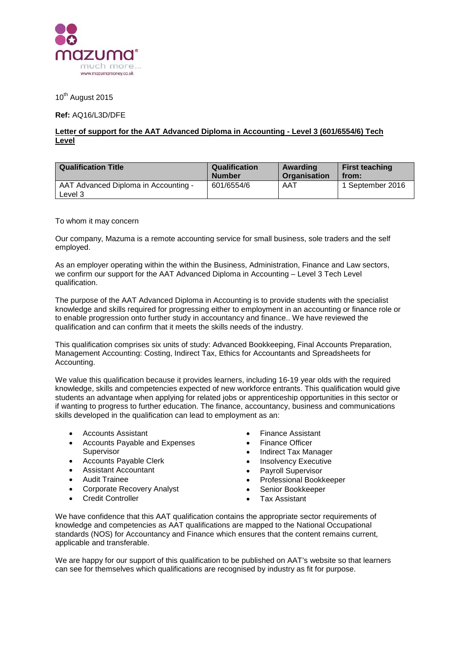

10<sup>th</sup> August 2015

**Ref:** AQ16/L3D/DFE

## **Letter of support for the AAT Advanced Diploma in Accounting - Level 3 (601/6554/6) Tech Level**

| <b>Qualification Title</b>                      | <b>Qualification</b> | Awarding            | <b>First teaching</b> |
|-------------------------------------------------|----------------------|---------------------|-----------------------|
|                                                 | <b>Number</b>        | <b>Organisation</b> | from:                 |
| AAT Advanced Diploma in Accounting -<br>Level 3 | 601/6554/6           | AAT                 | 1 September 2016      |

To whom it may concern

Our company, Mazuma is a remote accounting service for small business, sole traders and the self employed.

As an employer operating within the within the Business, Administration, Finance and Law sectors, we confirm our support for the AAT Advanced Diploma in Accounting – Level 3 Tech Level qualification.

The purpose of the AAT Advanced Diploma in Accounting is to provide students with the specialist knowledge and skills required for progressing either to employment in an accounting or finance role or to enable progression onto further study in accountancy and finance.. We have reviewed the qualification and can confirm that it meets the skills needs of the industry.

This qualification comprises six units of study: Advanced Bookkeeping, Final Accounts Preparation, Management Accounting: Costing, Indirect Tax, Ethics for Accountants and Spreadsheets for Accounting.

We value this qualification because it provides learners, including 16-19 year olds with the required knowledge, skills and competencies expected of new workforce entrants. This qualification would give students an advantage when applying for related jobs or apprenticeship opportunities in this sector or if wanting to progress to further education. The finance, accountancy, business and communications skills developed in the qualification can lead to employment as an:

- Accounts Assistant
- Accounts Payable and Expenses Supervisor
- Accounts Payable Clerk
- Assistant Accountant
- Audit Trainee
- Corporate Recovery Analyst
- Credit Controller
- Finance Assistant
- Finance Officer
- Indirect Tax Manager
- **Insolvency Executive**
- Payroll Supervisor
- Professional Bookkeeper
- Senior Bookkeeper
- Tax Assistant

We have confidence that this AAT qualification contains the appropriate sector requirements of knowledge and competencies as AAT qualifications are mapped to the National Occupational standards (NOS) for Accountancy and Finance which ensures that the content remains current, applicable and transferable.

We are happy for our support of this qualification to be published on AAT's website so that learners can see for themselves which qualifications are recognised by industry as fit for purpose.